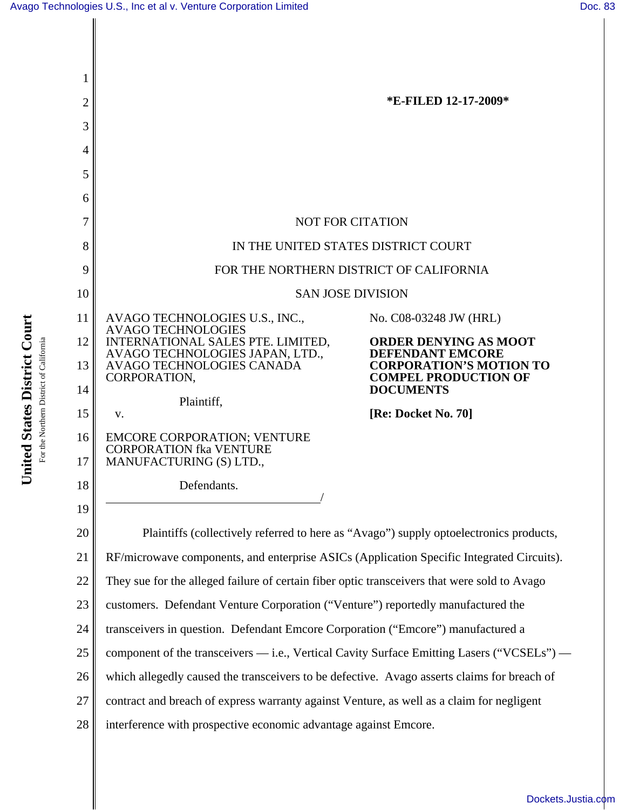**United States District Court** For the Northern District of California

United States District Court For the Northern District of California



[Dockets.Justia.com](http://dockets.justia.com/)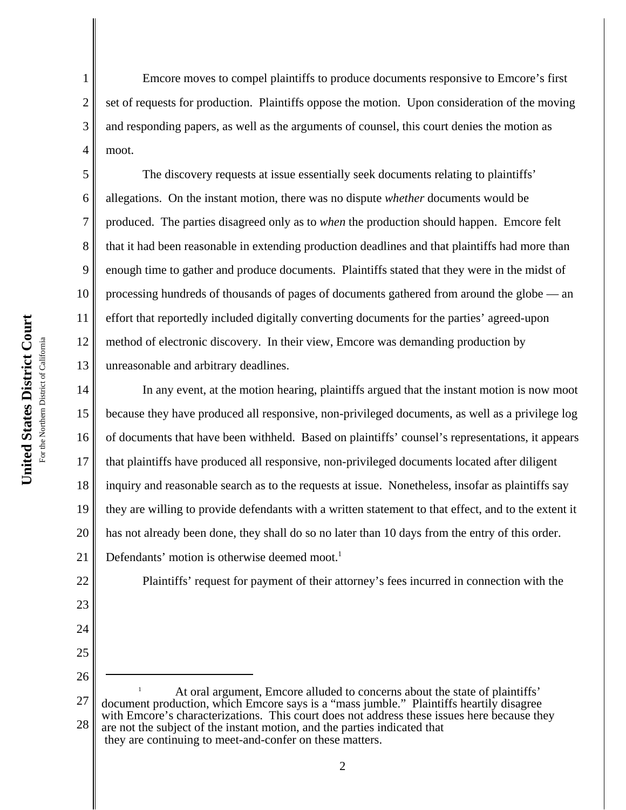1

2

3

4

5

6

7

8

9

10

11

12

13

22

23

24

25

26

Emcore moves to compel plaintiffs to produce documents responsive to Emcore's first set of requests for production. Plaintiffs oppose the motion. Upon consideration of the moving and responding papers, as well as the arguments of counsel, this court denies the motion as moot.

The discovery requests at issue essentially seek documents relating to plaintiffs' allegations. On the instant motion, there was no dispute *whether* documents would be produced. The parties disagreed only as to *when* the production should happen. Emcore felt that it had been reasonable in extending production deadlines and that plaintiffs had more than enough time to gather and produce documents. Plaintiffs stated that they were in the midst of processing hundreds of thousands of pages of documents gathered from around the globe — an effort that reportedly included digitally converting documents for the parties' agreed-upon method of electronic discovery. In their view, Emcore was demanding production by unreasonable and arbitrary deadlines.

14 15 16 17 18 19 20 21 In any event, at the motion hearing, plaintiffs argued that the instant motion is now moot because they have produced all responsive, non-privileged documents, as well as a privilege log of documents that have been withheld. Based on plaintiffs' counsel's representations, it appears that plaintiffs have produced all responsive, non-privileged documents located after diligent inquiry and reasonable search as to the requests at issue. Nonetheless, insofar as plaintiffs say they are willing to provide defendants with a written statement to that effect, and to the extent it has not already been done, they shall do so no later than 10 days from the entry of this order. Defendants' motion is otherwise deemed moot.<sup>1</sup>

Plaintiffs' request for payment of their attorney's fees incurred in connection with the

<sup>27</sup> 28 At oral argument, Emcore alluded to concerns about the state of plaintiffs' document production, which Emcore says is a "mass jumble." Plaintiffs heartily disagree with Emcore's characterizations. This court does not address these issues here because they are not the subject of the instant motion, and the parties indicated that they are continuing to meet-and-confer on these matters.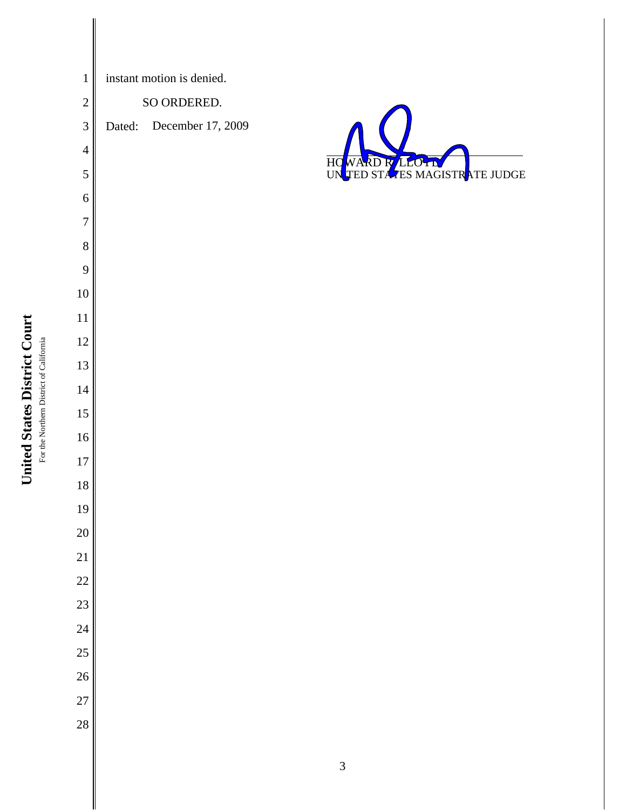| $\mathbf 1$    | instant motion is denied. |                   |                           |
|----------------|---------------------------|-------------------|---------------------------|
| $\overline{c}$ | SO ORDERED.               |                   |                           |
| $\mathfrak{Z}$ | Dated:                    | December 17, 2009 |                           |
| $\overline{4}$ |                           |                   |                           |
| 5              |                           |                   | HO WARD R LLOTD THE JUDGE |
| 6              |                           |                   |                           |
| $\overline{7}$ |                           |                   |                           |
| $8\,$          |                           |                   |                           |
| 9              |                           |                   |                           |
| $10\,$         |                           |                   |                           |
| $11\,$         |                           |                   |                           |
| $12\,$         |                           |                   |                           |
| $13\,$         |                           |                   |                           |
| $14\,$         |                           |                   |                           |
| $15\,$         |                           |                   |                           |
| $16\,$         |                           |                   |                           |
| $17\,$         |                           |                   |                           |
| $18\,$         |                           |                   |                           |
| 19             |                           |                   |                           |
| 20             |                           |                   |                           |
| 21             |                           |                   |                           |
| 22             |                           |                   |                           |
| 23             |                           |                   |                           |
| 24             |                           |                   |                           |
| 25             |                           |                   |                           |
| 26             |                           |                   |                           |
| 27             |                           |                   |                           |
| 28             |                           |                   |                           |
|                |                           |                   |                           |